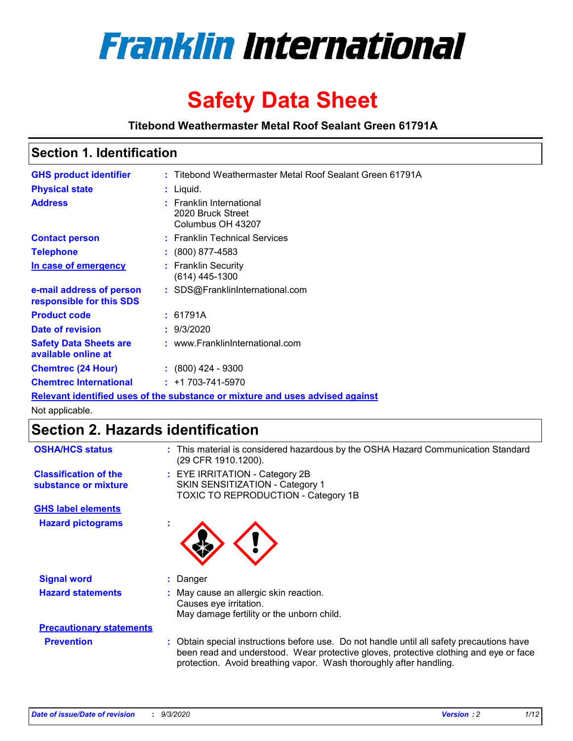

# **Safety Data Sheet**

**Titebond Weathermaster Metal Roof Sealant Green 61791A**

### **Section 1. Identification**

| <b>GHS product identifier</b>                                                 |  | : Titebond Weathermaster Metal Roof Sealant Green 61791A           |  |  |
|-------------------------------------------------------------------------------|--|--------------------------------------------------------------------|--|--|
| <b>Physical state</b>                                                         |  | $:$ Liquid.                                                        |  |  |
| <b>Address</b>                                                                |  | : Franklin International<br>2020 Bruck Street<br>Columbus OH 43207 |  |  |
| <b>Contact person</b>                                                         |  | : Franklin Technical Services                                      |  |  |
| <b>Telephone</b>                                                              |  | $\div$ (800) 877-4583                                              |  |  |
| In case of emergency                                                          |  | : Franklin Security<br>(614) 445-1300                              |  |  |
| e-mail address of person<br>responsible for this SDS                          |  | : SDS@FranklinInternational.com                                    |  |  |
| <b>Product code</b>                                                           |  | : 61791A                                                           |  |  |
| Date of revision                                                              |  | : 9/3/2020                                                         |  |  |
| <b>Safety Data Sheets are</b><br>available online at                          |  | : www.FranklinInternational.com                                    |  |  |
| <b>Chemtrec (24 Hour)</b>                                                     |  | $\div$ (800) 424 - 9300                                            |  |  |
| <b>Chemtrec International</b>                                                 |  | $: +1703 - 741 - 5970$                                             |  |  |
| Relevant identified uses of the substance or mixture and uses advised against |  |                                                                    |  |  |

Not applicable.

## **Section 2. Hazards identification**

| <b>OSHA/HCS status</b>                               |    | : This material is considered hazardous by the OSHA Hazard Communication Standard<br>(29 CFR 1910.1200).                                                                                                                                                 |
|------------------------------------------------------|----|----------------------------------------------------------------------------------------------------------------------------------------------------------------------------------------------------------------------------------------------------------|
| <b>Classification of the</b><br>substance or mixture |    | : EYE IRRITATION - Category 2B<br>SKIN SENSITIZATION - Category 1<br>TOXIC TO REPRODUCTION - Category 1B                                                                                                                                                 |
| <b>GHS label elements</b>                            |    |                                                                                                                                                                                                                                                          |
| <b>Hazard pictograms</b>                             | ٠  |                                                                                                                                                                                                                                                          |
| <b>Signal word</b>                                   | ÷. | Danger                                                                                                                                                                                                                                                   |
| <b>Hazard statements</b>                             |    | May cause an allergic skin reaction.<br>Causes eye irritation.<br>May damage fertility or the unborn child.                                                                                                                                              |
| <b>Precautionary statements</b>                      |    |                                                                                                                                                                                                                                                          |
| <b>Prevention</b>                                    |    | : Obtain special instructions before use. Do not handle until all safety precautions have<br>been read and understood. Wear protective gloves, protective clothing and eye or face<br>protection. Avoid breathing vapor. Wash thoroughly after handling. |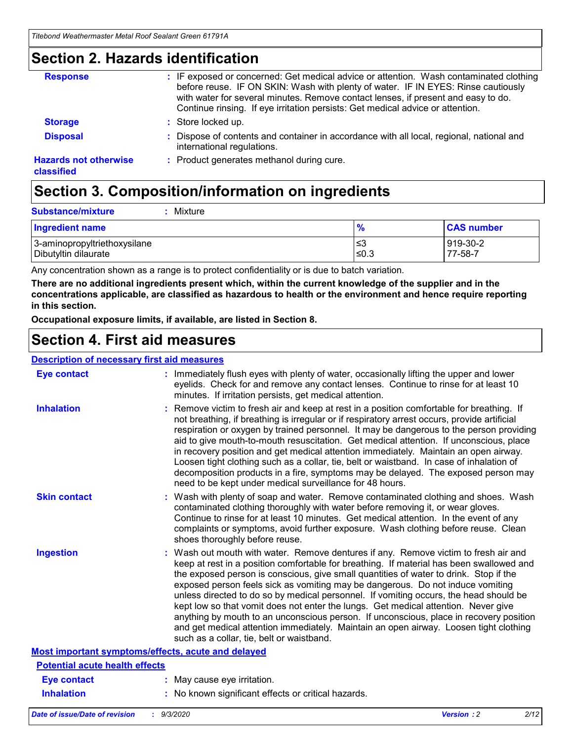### **Section 2. Hazards identification**

| <b>Response</b>                            | : IF exposed or concerned: Get medical advice or attention. Wash contaminated clothing<br>before reuse. IF ON SKIN: Wash with plenty of water. IF IN EYES: Rinse cautiously<br>with water for several minutes. Remove contact lenses, if present and easy to do.<br>Continue rinsing. If eye irritation persists: Get medical advice or attention. |
|--------------------------------------------|----------------------------------------------------------------------------------------------------------------------------------------------------------------------------------------------------------------------------------------------------------------------------------------------------------------------------------------------------|
| <b>Storage</b>                             | : Store locked up.                                                                                                                                                                                                                                                                                                                                 |
| <b>Disposal</b>                            | : Dispose of contents and container in accordance with all local, regional, national and<br>international regulations.                                                                                                                                                                                                                             |
| <b>Hazards not otherwise</b><br>classified | : Product generates methanol during cure.                                                                                                                                                                                                                                                                                                          |

# **Section 3. Composition/information on ingredients**

| <b>Substance/mixture</b> | Mixture |
|--------------------------|---------|
|                          |         |

| <b>Ingredient name</b>       | $\frac{9}{6}$ | <b>CAS number</b> |
|------------------------------|---------------|-------------------|
| 3-aminopropyltriethoxysilane | '≤3           | 919-30-2          |
| Dibutyltin dilaurate         | ≤0.3          | 77-58-7           |

Any concentration shown as a range is to protect confidentiality or is due to batch variation.

**There are no additional ingredients present which, within the current knowledge of the supplier and in the concentrations applicable, are classified as hazardous to health or the environment and hence require reporting in this section.**

**Occupational exposure limits, if available, are listed in Section 8.**

### **Section 4. First aid measures**

| <b>Description of necessary first aid measures</b> |                                                                                                                                                                                                                                                                                                                                                                                                                                                                                                                                                                                                                                                                                                                                                                           |
|----------------------------------------------------|---------------------------------------------------------------------------------------------------------------------------------------------------------------------------------------------------------------------------------------------------------------------------------------------------------------------------------------------------------------------------------------------------------------------------------------------------------------------------------------------------------------------------------------------------------------------------------------------------------------------------------------------------------------------------------------------------------------------------------------------------------------------------|
| <b>Eye contact</b>                                 | : Immediately flush eyes with plenty of water, occasionally lifting the upper and lower<br>eyelids. Check for and remove any contact lenses. Continue to rinse for at least 10<br>minutes. If irritation persists, get medical attention.                                                                                                                                                                                                                                                                                                                                                                                                                                                                                                                                 |
| <b>Inhalation</b>                                  | : Remove victim to fresh air and keep at rest in a position comfortable for breathing. If<br>not breathing, if breathing is irregular or if respiratory arrest occurs, provide artificial<br>respiration or oxygen by trained personnel. It may be dangerous to the person providing<br>aid to give mouth-to-mouth resuscitation. Get medical attention. If unconscious, place<br>in recovery position and get medical attention immediately. Maintain an open airway.<br>Loosen tight clothing such as a collar, tie, belt or waistband. In case of inhalation of<br>decomposition products in a fire, symptoms may be delayed. The exposed person may<br>need to be kept under medical surveillance for 48 hours.                                                       |
| <b>Skin contact</b>                                | : Wash with plenty of soap and water. Remove contaminated clothing and shoes. Wash<br>contaminated clothing thoroughly with water before removing it, or wear gloves.<br>Continue to rinse for at least 10 minutes. Get medical attention. In the event of any<br>complaints or symptoms, avoid further exposure. Wash clothing before reuse. Clean<br>shoes thoroughly before reuse.                                                                                                                                                                                                                                                                                                                                                                                     |
| <b>Ingestion</b>                                   | : Wash out mouth with water. Remove dentures if any. Remove victim to fresh air and<br>keep at rest in a position comfortable for breathing. If material has been swallowed and<br>the exposed person is conscious, give small quantities of water to drink. Stop if the<br>exposed person feels sick as vomiting may be dangerous. Do not induce vomiting<br>unless directed to do so by medical personnel. If vomiting occurs, the head should be<br>kept low so that vomit does not enter the lungs. Get medical attention. Never give<br>anything by mouth to an unconscious person. If unconscious, place in recovery position<br>and get medical attention immediately. Maintain an open airway. Loosen tight clothing<br>such as a collar, tie, belt or waistband. |
| Most important symptoms/effects, acute and delayed |                                                                                                                                                                                                                                                                                                                                                                                                                                                                                                                                                                                                                                                                                                                                                                           |
| <b>Potential acute health effects</b>              |                                                                                                                                                                                                                                                                                                                                                                                                                                                                                                                                                                                                                                                                                                                                                                           |
| <b>Eye contact</b>                                 | : May cause eye irritation.                                                                                                                                                                                                                                                                                                                                                                                                                                                                                                                                                                                                                                                                                                                                               |
| <b>Inhalation</b>                                  | : No known significant effects or critical hazards.                                                                                                                                                                                                                                                                                                                                                                                                                                                                                                                                                                                                                                                                                                                       |
|                                                    |                                                                                                                                                                                                                                                                                                                                                                                                                                                                                                                                                                                                                                                                                                                                                                           |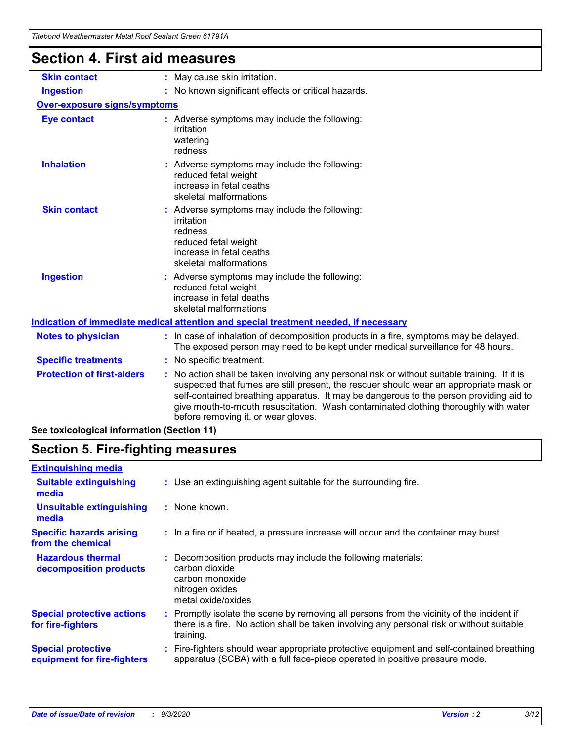| Titebond Weathermaster Metal Roof Sealant Green 61791A |                                                                                                                                                                                                                                                                                                                                                                                                                 |
|--------------------------------------------------------|-----------------------------------------------------------------------------------------------------------------------------------------------------------------------------------------------------------------------------------------------------------------------------------------------------------------------------------------------------------------------------------------------------------------|
| <b>Section 4. First aid measures</b>                   |                                                                                                                                                                                                                                                                                                                                                                                                                 |
| <b>Skin contact</b>                                    | : May cause skin irritation.                                                                                                                                                                                                                                                                                                                                                                                    |
| <b>Ingestion</b>                                       | : No known significant effects or critical hazards.                                                                                                                                                                                                                                                                                                                                                             |
| <b>Over-exposure signs/symptoms</b>                    |                                                                                                                                                                                                                                                                                                                                                                                                                 |
| <b>Eye contact</b>                                     | : Adverse symptoms may include the following:<br>irritation<br>watering<br>redness                                                                                                                                                                                                                                                                                                                              |
| <b>Inhalation</b>                                      | : Adverse symptoms may include the following:<br>reduced fetal weight<br>increase in fetal deaths<br>skeletal malformations                                                                                                                                                                                                                                                                                     |
| <b>Skin contact</b>                                    | : Adverse symptoms may include the following:<br>irritation<br>redness<br>reduced fetal weight<br>increase in fetal deaths<br>skeletal malformations                                                                                                                                                                                                                                                            |
| <b>Ingestion</b>                                       | Adverse symptoms may include the following:<br>reduced fetal weight<br>increase in fetal deaths<br>skeletal malformations                                                                                                                                                                                                                                                                                       |
|                                                        | Indication of immediate medical attention and special treatment needed, if necessary                                                                                                                                                                                                                                                                                                                            |
| <b>Notes to physician</b>                              | : In case of inhalation of decomposition products in a fire, symptoms may be delayed.<br>The exposed person may need to be kept under medical surveillance for 48 hours.                                                                                                                                                                                                                                        |
| <b>Specific treatments</b>                             | : No specific treatment.                                                                                                                                                                                                                                                                                                                                                                                        |
| <b>Protection of first-aiders</b>                      | : No action shall be taken involving any personal risk or without suitable training. If it is<br>suspected that fumes are still present, the rescuer should wear an appropriate mask or<br>self-contained breathing apparatus. It may be dangerous to the person providing aid to<br>give mouth-to-mouth resuscitation. Wash contaminated clothing thoroughly with water<br>before removing it, or wear gloves. |
| See toxicological information (Section 11)             |                                                                                                                                                                                                                                                                                                                                                                                                                 |

### **Section 5. Fire-fighting measures**

| <b>Extinguishing media</b>                               |                                                                                                                                                                                                     |
|----------------------------------------------------------|-----------------------------------------------------------------------------------------------------------------------------------------------------------------------------------------------------|
| <b>Suitable extinguishing</b><br>media                   | : Use an extinguishing agent suitable for the surrounding fire.                                                                                                                                     |
| <b>Unsuitable extinguishing</b><br>media                 | : None known.                                                                                                                                                                                       |
| <b>Specific hazards arising</b><br>from the chemical     | : In a fire or if heated, a pressure increase will occur and the container may burst.                                                                                                               |
| <b>Hazardous thermal</b><br>decomposition products       | Decomposition products may include the following materials:<br>carbon dioxide<br>carbon monoxide<br>nitrogen oxides<br>metal oxide/oxides                                                           |
| <b>Special protective actions</b><br>for fire-fighters   | : Promptly isolate the scene by removing all persons from the vicinity of the incident if<br>there is a fire. No action shall be taken involving any personal risk or without suitable<br>training. |
| <b>Special protective</b><br>equipment for fire-fighters | Fire-fighters should wear appropriate protective equipment and self-contained breathing<br>apparatus (SCBA) with a full face-piece operated in positive pressure mode.                              |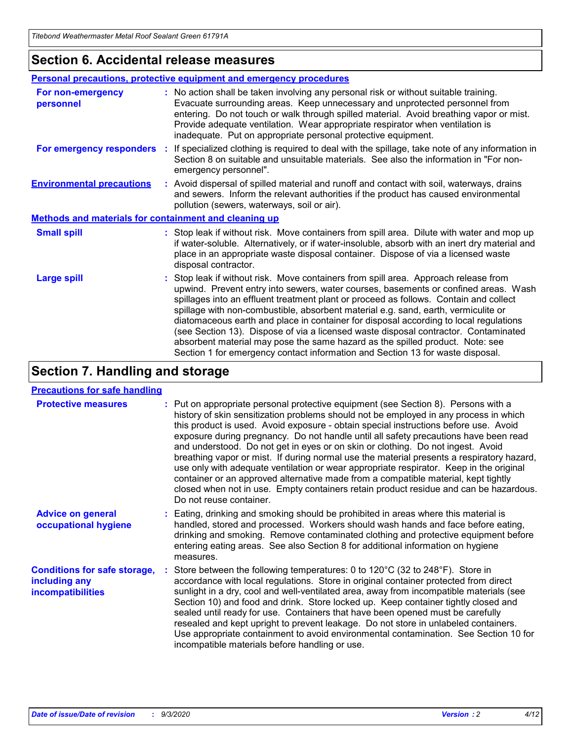### **Section 6. Accidental release measures**

|                                                              | <b>Personal precautions, protective equipment and emergency procedures</b>                                                                                                                                                                                                                                                                                                                                                                                                                                                                                                                                                                                                                                   |
|--------------------------------------------------------------|--------------------------------------------------------------------------------------------------------------------------------------------------------------------------------------------------------------------------------------------------------------------------------------------------------------------------------------------------------------------------------------------------------------------------------------------------------------------------------------------------------------------------------------------------------------------------------------------------------------------------------------------------------------------------------------------------------------|
| For non-emergency<br>personnel                               | : No action shall be taken involving any personal risk or without suitable training.<br>Evacuate surrounding areas. Keep unnecessary and unprotected personnel from<br>entering. Do not touch or walk through spilled material. Avoid breathing vapor or mist.<br>Provide adequate ventilation. Wear appropriate respirator when ventilation is<br>inadequate. Put on appropriate personal protective equipment.                                                                                                                                                                                                                                                                                             |
| For emergency responders                                     | : If specialized clothing is required to deal with the spillage, take note of any information in<br>Section 8 on suitable and unsuitable materials. See also the information in "For non-<br>emergency personnel".                                                                                                                                                                                                                                                                                                                                                                                                                                                                                           |
| <b>Environmental precautions</b>                             | : Avoid dispersal of spilled material and runoff and contact with soil, waterways, drains<br>and sewers. Inform the relevant authorities if the product has caused environmental<br>pollution (sewers, waterways, soil or air).                                                                                                                                                                                                                                                                                                                                                                                                                                                                              |
| <b>Methods and materials for containment and cleaning up</b> |                                                                                                                                                                                                                                                                                                                                                                                                                                                                                                                                                                                                                                                                                                              |
| <b>Small spill</b>                                           | : Stop leak if without risk. Move containers from spill area. Dilute with water and mop up<br>if water-soluble. Alternatively, or if water-insoluble, absorb with an inert dry material and<br>place in an appropriate waste disposal container. Dispose of via a licensed waste<br>disposal contractor.                                                                                                                                                                                                                                                                                                                                                                                                     |
| <b>Large spill</b>                                           | : Stop leak if without risk. Move containers from spill area. Approach release from<br>upwind. Prevent entry into sewers, water courses, basements or confined areas. Wash<br>spillages into an effluent treatment plant or proceed as follows. Contain and collect<br>spillage with non-combustible, absorbent material e.g. sand, earth, vermiculite or<br>diatomaceous earth and place in container for disposal according to local regulations<br>(see Section 13). Dispose of via a licensed waste disposal contractor. Contaminated<br>absorbent material may pose the same hazard as the spilled product. Note: see<br>Section 1 for emergency contact information and Section 13 for waste disposal. |

### **Section 7. Handling and storage**

#### **Precautions for safe handling**

| <b>Protective measures</b>                                                       | : Put on appropriate personal protective equipment (see Section 8). Persons with a<br>history of skin sensitization problems should not be employed in any process in which<br>this product is used. Avoid exposure - obtain special instructions before use. Avoid<br>exposure during pregnancy. Do not handle until all safety precautions have been read<br>and understood. Do not get in eyes or on skin or clothing. Do not ingest. Avoid<br>breathing vapor or mist. If during normal use the material presents a respiratory hazard,<br>use only with adequate ventilation or wear appropriate respirator. Keep in the original<br>container or an approved alternative made from a compatible material, kept tightly<br>closed when not in use. Empty containers retain product residue and can be hazardous.<br>Do not reuse container. |
|----------------------------------------------------------------------------------|--------------------------------------------------------------------------------------------------------------------------------------------------------------------------------------------------------------------------------------------------------------------------------------------------------------------------------------------------------------------------------------------------------------------------------------------------------------------------------------------------------------------------------------------------------------------------------------------------------------------------------------------------------------------------------------------------------------------------------------------------------------------------------------------------------------------------------------------------|
| <b>Advice on general</b><br>occupational hygiene                                 | : Eating, drinking and smoking should be prohibited in areas where this material is<br>handled, stored and processed. Workers should wash hands and face before eating,<br>drinking and smoking. Remove contaminated clothing and protective equipment before<br>entering eating areas. See also Section 8 for additional information on hygiene<br>measures.                                                                                                                                                                                                                                                                                                                                                                                                                                                                                    |
| <b>Conditions for safe storage,</b><br>including any<br><i>incompatibilities</i> | Store between the following temperatures: 0 to 120°C (32 to 248°F). Store in<br>accordance with local regulations. Store in original container protected from direct<br>sunlight in a dry, cool and well-ventilated area, away from incompatible materials (see<br>Section 10) and food and drink. Store locked up. Keep container tightly closed and<br>sealed until ready for use. Containers that have been opened must be carefully<br>resealed and kept upright to prevent leakage. Do not store in unlabeled containers.<br>Use appropriate containment to avoid environmental contamination. See Section 10 for<br>incompatible materials before handling or use.                                                                                                                                                                         |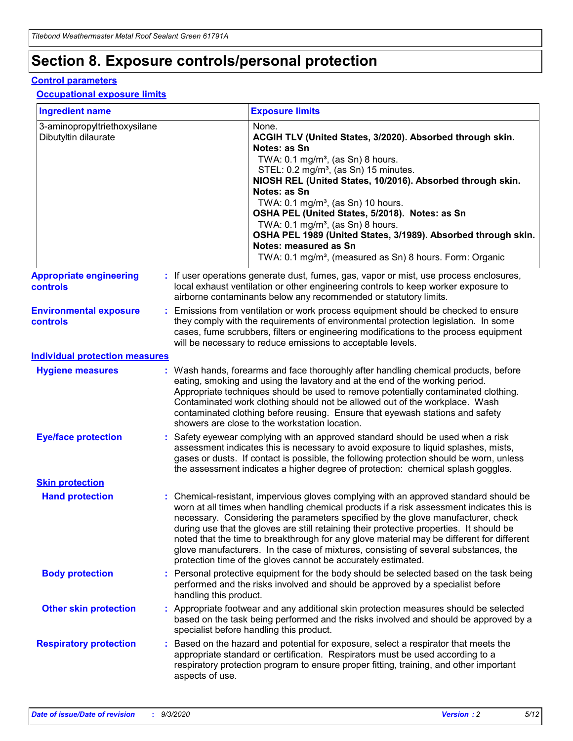# **Section 8. Exposure controls/personal protection**

#### **Control parameters**

#### **Occupational exposure limits**

| <b>Ingredient name</b>                               |    |                        | <b>Exposure limits</b>                                                                                                                                                                                                                                                                                                                                                                                                                                                                                                                                                                                                 |
|------------------------------------------------------|----|------------------------|------------------------------------------------------------------------------------------------------------------------------------------------------------------------------------------------------------------------------------------------------------------------------------------------------------------------------------------------------------------------------------------------------------------------------------------------------------------------------------------------------------------------------------------------------------------------------------------------------------------------|
| 3-aminopropyltriethoxysilane<br>Dibutyltin dilaurate |    |                        | None.<br>ACGIH TLV (United States, 3/2020). Absorbed through skin.<br>Notes: as Sn<br>TWA: $0.1 \text{ mg/m}^3$ , (as Sn) 8 hours.<br>STEL: 0.2 mg/m <sup>3</sup> , (as Sn) 15 minutes.<br>NIOSH REL (United States, 10/2016). Absorbed through skin.<br>Notes: as Sn<br>TWA: 0.1 mg/m <sup>3</sup> , (as Sn) 10 hours.<br>OSHA PEL (United States, 5/2018). Notes: as Sn<br>TWA: $0.1 \text{ mg/m}^3$ , (as Sn) 8 hours.<br>OSHA PEL 1989 (United States, 3/1989). Absorbed through skin.<br>Notes: measured as Sn<br>TWA: 0.1 mg/m <sup>3</sup> , (measured as Sn) 8 hours. Form: Organic                            |
| <b>Appropriate engineering</b><br>controls           |    |                        | : If user operations generate dust, fumes, gas, vapor or mist, use process enclosures,<br>local exhaust ventilation or other engineering controls to keep worker exposure to<br>airborne contaminants below any recommended or statutory limits.                                                                                                                                                                                                                                                                                                                                                                       |
| <b>Environmental exposure</b><br>controls            |    |                        | Emissions from ventilation or work process equipment should be checked to ensure<br>they comply with the requirements of environmental protection legislation. In some<br>cases, fume scrubbers, filters or engineering modifications to the process equipment<br>will be necessary to reduce emissions to acceptable levels.                                                                                                                                                                                                                                                                                          |
| <b>Individual protection measures</b>                |    |                        |                                                                                                                                                                                                                                                                                                                                                                                                                                                                                                                                                                                                                        |
| <b>Hygiene measures</b>                              |    |                        | : Wash hands, forearms and face thoroughly after handling chemical products, before<br>eating, smoking and using the lavatory and at the end of the working period.<br>Appropriate techniques should be used to remove potentially contaminated clothing.<br>Contaminated work clothing should not be allowed out of the workplace. Wash<br>contaminated clothing before reusing. Ensure that eyewash stations and safety<br>showers are close to the workstation location.                                                                                                                                            |
| <b>Eye/face protection</b>                           |    |                        | : Safety eyewear complying with an approved standard should be used when a risk<br>assessment indicates this is necessary to avoid exposure to liquid splashes, mists,<br>gases or dusts. If contact is possible, the following protection should be worn, unless<br>the assessment indicates a higher degree of protection: chemical splash goggles.                                                                                                                                                                                                                                                                  |
| <b>Skin protection</b>                               |    |                        |                                                                                                                                                                                                                                                                                                                                                                                                                                                                                                                                                                                                                        |
| <b>Hand protection</b>                               |    |                        | : Chemical-resistant, impervious gloves complying with an approved standard should be<br>worn at all times when handling chemical products if a risk assessment indicates this is<br>necessary. Considering the parameters specified by the glove manufacturer, check<br>during use that the gloves are still retaining their protective properties. It should be<br>noted that the time to breakthrough for any glove material may be different for different<br>glove manufacturers. In the case of mixtures, consisting of several substances, the<br>protection time of the gloves cannot be accurately estimated. |
| <b>Body protection</b>                               |    | handling this product. | Personal protective equipment for the body should be selected based on the task being<br>performed and the risks involved and should be approved by a specialist before                                                                                                                                                                                                                                                                                                                                                                                                                                                |
| <b>Other skin protection</b>                         |    |                        | : Appropriate footwear and any additional skin protection measures should be selected<br>based on the task being performed and the risks involved and should be approved by a<br>specialist before handling this product.                                                                                                                                                                                                                                                                                                                                                                                              |
| <b>Respiratory protection</b>                        | ÷. | aspects of use.        | Based on the hazard and potential for exposure, select a respirator that meets the<br>appropriate standard or certification. Respirators must be used according to a<br>respiratory protection program to ensure proper fitting, training, and other important                                                                                                                                                                                                                                                                                                                                                         |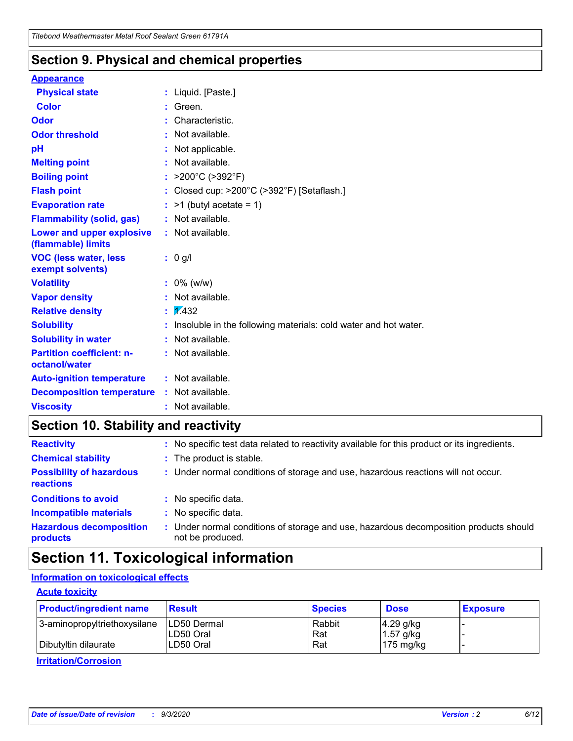### **Section 9. Physical and chemical properties**

#### **Appearance**

| <b>Physical state</b>                             |   | : Liquid. [Paste.]                                              |
|---------------------------------------------------|---|-----------------------------------------------------------------|
| <b>Color</b>                                      |   | Green.                                                          |
| Odor                                              |   | Characteristic.                                                 |
| <b>Odor threshold</b>                             | ÷ | Not available.                                                  |
| рH                                                |   | Not applicable.                                                 |
| <b>Melting point</b>                              |   | : Not available.                                                |
| <b>Boiling point</b>                              |   | >200°C (>392°F)                                                 |
| <b>Flash point</b>                                |   | Closed cup: >200°C (>392°F) [Setaflash.]                        |
| <b>Evaporation rate</b>                           |   | $:$ >1 (butyl acetate = 1)                                      |
| <b>Flammability (solid, gas)</b>                  |   | : Not available.                                                |
| Lower and upper explosive<br>(flammable) limits   |   | : Not available.                                                |
| <b>VOC (less water, less)</b><br>exempt solvents) |   | : 0 g/l                                                         |
| <b>Volatility</b>                                 |   | $: 0\%$ (w/w)                                                   |
| <b>Vapor density</b>                              |   | Not available.                                                  |
| <b>Relative density</b>                           |   | $\mathbf{1}$ $\mathbf{\sqrt{432}}$                              |
| <b>Solubility</b>                                 |   | Insoluble in the following materials: cold water and hot water. |
| <b>Solubility in water</b>                        |   | Not available.                                                  |
| <b>Partition coefficient: n-</b><br>octanol/water |   | $:$ Not available.                                              |
| <b>Auto-ignition temperature</b>                  |   | : Not available.                                                |
| <b>Decomposition temperature</b>                  |   | : Not available.                                                |
| <b>Viscosity</b>                                  |   | $:$ Not available.                                              |

### **Section 10. Stability and reactivity**

| <b>Reactivity</b>                            |    | : No specific test data related to reactivity available for this product or its ingredients.            |
|----------------------------------------------|----|---------------------------------------------------------------------------------------------------------|
| <b>Chemical stability</b>                    |    | : The product is stable.                                                                                |
| <b>Possibility of hazardous</b><br>reactions |    | : Under normal conditions of storage and use, hazardous reactions will not occur.                       |
| <b>Conditions to avoid</b>                   |    | : No specific data.                                                                                     |
| <b>Incompatible materials</b>                | ٠. | No specific data.                                                                                       |
| <b>Hazardous decomposition</b><br>products   | ÷. | Under normal conditions of storage and use, hazardous decomposition products should<br>not be produced. |

### **Section 11. Toxicological information**

#### **Information on toxicological effects**

#### **Acute toxicity**

| <b>Product/ingredient name</b> | <b>Result</b>           | <b>Species</b> | <b>Dose</b>                | <b>Exposure</b> |
|--------------------------------|-------------------------|----------------|----------------------------|-----------------|
| 3-aminopropyltriethoxysilane   | <b>ILD50 Dermal</b>     | Rabbit         | 4.29 g/kg                  |                 |
| Dibutyltin dilaurate           | ILD50 Oral<br>LD50 Oral | Rat<br>Rat     | $1.57$ g/kg<br>175 $mg/kg$ |                 |
|                                |                         |                |                            |                 |

**Irritation/Corrosion**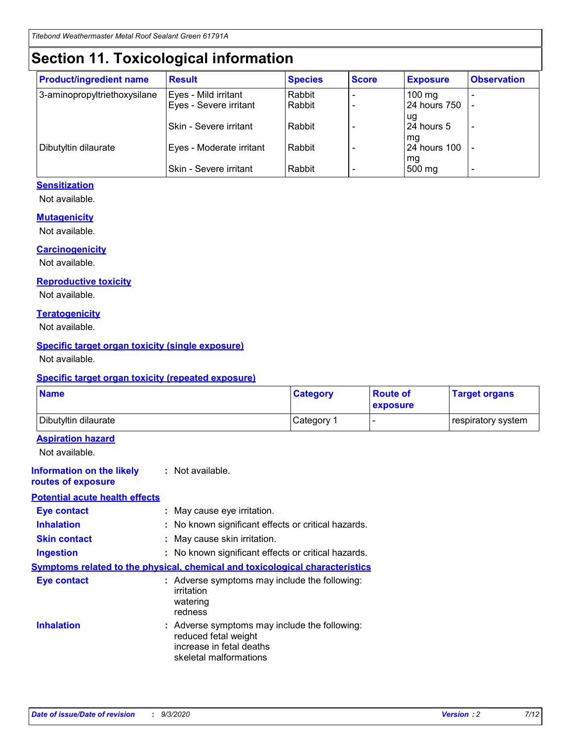# **Section 11. Toxicological information**

| <b>Product/ingredient name</b> | <b>Result</b>            | <b>Species</b> | <b>Score</b> | <b>Exposure</b>    | <b>Observation</b> |
|--------------------------------|--------------------------|----------------|--------------|--------------------|--------------------|
| 3-aminopropyltriethoxysilane   | Eyes - Mild irritant     | Rabbit         |              | $100 \text{ mg}$   |                    |
|                                | Eyes - Severe irritant   | Rabbit         |              | 24 hours 750       |                    |
|                                |                          |                |              | ug                 |                    |
|                                | Skin - Severe irritant   | Rabbit         |              | 24 hours 5         | -                  |
| Dibutyltin dilaurate           | Eyes - Moderate irritant | Rabbit         |              | mg<br>24 hours 100 |                    |
|                                |                          |                |              | mg                 |                    |
|                                | Skin - Severe irritant   | Rabbit         |              | 500 mg             | -                  |

#### **Sensitization**

Not available.

#### **Mutagenicity**

Not available.

#### **Carcinogenicity**

Not available.

#### **Reproductive toxicity**

Not available.

#### **Teratogenicity**

Not available.

#### **Specific target organ toxicity (single exposure)**

Not available.

#### **Specific target organ toxicity (repeated exposure)**

| <b>Name</b>                                                                  |                                                                                                                             | <b>Category</b>                                     | <b>Route of</b><br>exposure | <b>Target organs</b> |  |  |
|------------------------------------------------------------------------------|-----------------------------------------------------------------------------------------------------------------------------|-----------------------------------------------------|-----------------------------|----------------------|--|--|
| Dibutyltin dilaurate                                                         |                                                                                                                             | Category 1                                          |                             | respiratory system   |  |  |
| <b>Aspiration hazard</b><br>Not available.                                   |                                                                                                                             |                                                     |                             |                      |  |  |
| <b>Information on the likely</b><br>routes of exposure                       | : Not available.                                                                                                            |                                                     |                             |                      |  |  |
| <b>Potential acute health effects</b>                                        |                                                                                                                             |                                                     |                             |                      |  |  |
| <b>Eye contact</b>                                                           | : May cause eye irritation.                                                                                                 |                                                     |                             |                      |  |  |
| <b>Inhalation</b>                                                            |                                                                                                                             | : No known significant effects or critical hazards. |                             |                      |  |  |
| <b>Skin contact</b>                                                          |                                                                                                                             | : May cause skin irritation.                        |                             |                      |  |  |
| <b>Ingestion</b>                                                             |                                                                                                                             | : No known significant effects or critical hazards. |                             |                      |  |  |
| Symptoms related to the physical, chemical and toxicological characteristics |                                                                                                                             |                                                     |                             |                      |  |  |
| <b>Eye contact</b>                                                           | : Adverse symptoms may include the following:<br>irritation<br>watering<br>redness                                          |                                                     |                             |                      |  |  |
| <b>Inhalation</b>                                                            | : Adverse symptoms may include the following:<br>reduced fetal weight<br>increase in fetal deaths<br>skeletal malformations |                                                     |                             |                      |  |  |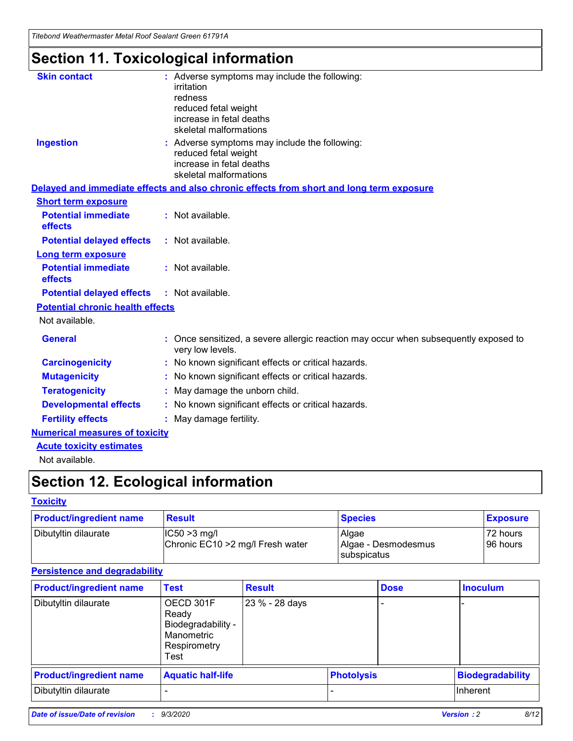*Titebond Weathermaster Metal Roof Sealant Green 61791A*

# **Section 11. Toxicological information**

| <b>Skin contact</b>                     | : Adverse symptoms may include the following:<br>irritation                                            |
|-----------------------------------------|--------------------------------------------------------------------------------------------------------|
|                                         | redness                                                                                                |
|                                         | reduced fetal weight                                                                                   |
|                                         | increase in fetal deaths                                                                               |
|                                         | skeletal malformations                                                                                 |
| <b>Ingestion</b>                        | : Adverse symptoms may include the following:<br>reduced fetal weight                                  |
|                                         | increase in fetal deaths                                                                               |
|                                         | skeletal malformations                                                                                 |
|                                         | Delayed and immediate effects and also chronic effects from short and long term exposure               |
| <b>Short term exposure</b>              |                                                                                                        |
| <b>Potential immediate</b><br>effects   | : Not available.                                                                                       |
| <b>Potential delayed effects</b>        | : Not available.                                                                                       |
| Long term exposure                      |                                                                                                        |
| <b>Potential immediate</b><br>effects   | : Not available.                                                                                       |
| <b>Potential delayed effects</b>        | : Not available.                                                                                       |
| <b>Potential chronic health effects</b> |                                                                                                        |
| Not available.                          |                                                                                                        |
| <b>General</b>                          | Once sensitized, a severe allergic reaction may occur when subsequently exposed to<br>very low levels. |
| <b>Carcinogenicity</b>                  | No known significant effects or critical hazards.                                                      |
| <b>Mutagenicity</b>                     | : No known significant effects or critical hazards.                                                    |
| <b>Teratogenicity</b>                   | May damage the unborn child.                                                                           |
| <b>Developmental effects</b>            | : No known significant effects or critical hazards.                                                    |
| <b>Fertility effects</b>                | : May damage fertility.                                                                                |
| <b>Numerical measures of toxicity</b>   |                                                                                                        |
| <b>Acute toxicity estimates</b>         |                                                                                                        |
| Not ovoilable                           |                                                                                                        |

Not available.

# **Section 12. Ecological information**

#### **Toxicity**

| <b>Product/ingredient name</b> | <b>Result</b>                                       | <b>Species</b>               | <b>Exposure</b>       |
|--------------------------------|-----------------------------------------------------|------------------------------|-----------------------|
| Dibutyltin dilaurate           | $ CC50>3$ mg/l<br>Chronic EC10 > 2 mg/l Fresh water | Algae<br>Algae - Desmodesmus | 72 hours<br>196 hours |
|                                |                                                     | <b>I</b> subspicatus         |                       |

#### **Persistence and degradability**

| <b>Product/ingredient name</b> | <b>Test</b>                                                                    | <b>Result</b>  |                   | <b>Dose</b> | <b>Inoculum</b>         |
|--------------------------------|--------------------------------------------------------------------------------|----------------|-------------------|-------------|-------------------------|
| Dibutyltin dilaurate           | OECD 301F<br>Ready<br>Biodegradability -<br>Manometric<br>Respirometry<br>Test | 23 % - 28 days |                   |             |                         |
| <b>Product/ingredient name</b> | <b>Aquatic half-life</b>                                                       |                | <b>Photolysis</b> |             | <b>Biodegradability</b> |
| Dibutyltin dilaurate           |                                                                                |                |                   |             | <b>Inherent</b>         |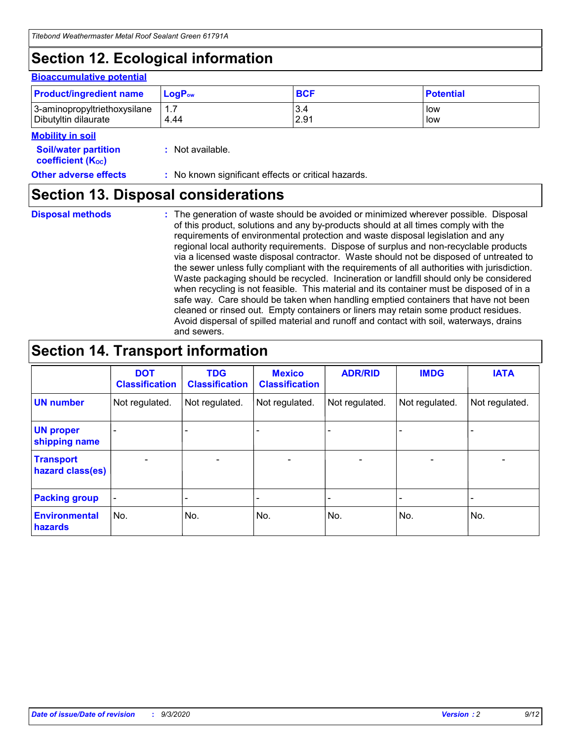# **Section 12. Ecological information**

#### **Bioaccumulative potential**

| <b>Product/ingredient name</b> | $LoaPow$ | <b>BCF</b> | <b>Potential</b> |
|--------------------------------|----------|------------|------------------|
| 3-aminopropyltriethoxysilane   | 1.7      | 3.4        | low              |
| Dibutyltin dilaurate           | 4.44     | 2.91       | low              |

#### **Mobility in soil**

| <b>IVIUDIIILY III SUII</b>                                    |                                                     |
|---------------------------------------------------------------|-----------------------------------------------------|
| <b>Soil/water partition</b><br>coefficient (K <sub>oc</sub> ) | : Not available.                                    |
| <b>Other adverse effects</b>                                  | : No known significant effects or critical hazards. |

### **Section 13. Disposal considerations**

**Disposal methods :**

The generation of waste should be avoided or minimized wherever possible. Disposal of this product, solutions and any by-products should at all times comply with the requirements of environmental protection and waste disposal legislation and any regional local authority requirements. Dispose of surplus and non-recyclable products via a licensed waste disposal contractor. Waste should not be disposed of untreated to the sewer unless fully compliant with the requirements of all authorities with jurisdiction. Waste packaging should be recycled. Incineration or landfill should only be considered when recycling is not feasible. This material and its container must be disposed of in a safe way. Care should be taken when handling emptied containers that have not been cleaned or rinsed out. Empty containers or liners may retain some product residues. Avoid dispersal of spilled material and runoff and contact with soil, waterways, drains and sewers.

### **Section 14. Transport information**

|                                      | <b>DOT</b><br><b>Classification</b> | <b>TDG</b><br><b>Classification</b> | <b>Mexico</b><br><b>Classification</b> | <b>ADR/RID</b>               | <b>IMDG</b>              | <b>IATA</b>                  |
|--------------------------------------|-------------------------------------|-------------------------------------|----------------------------------------|------------------------------|--------------------------|------------------------------|
| <b>UN number</b>                     | Not regulated.                      | Not regulated.                      | Not regulated.                         | Not regulated.               | Not regulated.           | Not regulated.               |
| <b>UN proper</b><br>shipping name    |                                     |                                     |                                        |                              |                          |                              |
| <b>Transport</b><br>hazard class(es) | ٠                                   | $\qquad \qquad \blacksquare$        | $\overline{\phantom{a}}$               | $\qquad \qquad \blacksquare$ | $\overline{\phantom{0}}$ | $\overline{\phantom{0}}$     |
| <b>Packing group</b>                 |                                     |                                     |                                        | -                            |                          | $\qquad \qquad \blacksquare$ |
| <b>Environmental</b><br>hazards      | No.                                 | No.                                 | No.                                    | No.                          | No.                      | No.                          |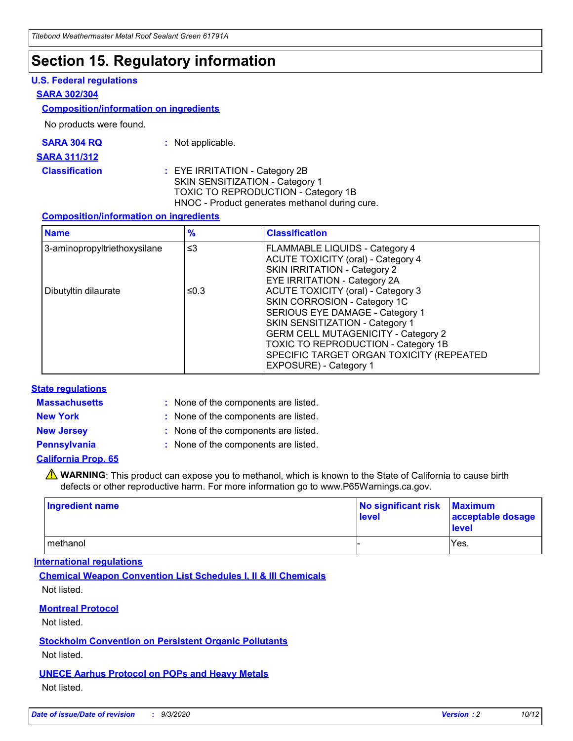### **Section 15. Regulatory information**

#### **U.S. Federal regulations**

#### **SARA 302/304**

#### **Composition/information on ingredients**

No products were found.

| SARA 304 RQ | Not applicable. |
|-------------|-----------------|
|-------------|-----------------|

#### **SARA 311/312**

**Classification :** EYE IRRITATION - Category 2B SKIN SENSITIZATION - Category 1 TOXIC TO REPRODUCTION - Category 1B HNOC - Product generates methanol during cure.

#### **Composition/information on ingredients**

| <b>Name</b>                  | $\frac{9}{6}$ | <b>Classification</b>                                                                                                                                                                                                                                                                                      |
|------------------------------|---------------|------------------------------------------------------------------------------------------------------------------------------------------------------------------------------------------------------------------------------------------------------------------------------------------------------------|
| 3-aminopropyltriethoxysilane | $\leq$ 3      | <b>FLAMMABLE LIQUIDS - Category 4</b><br><b>ACUTE TOXICITY (oral) - Category 4</b><br><b>SKIN IRRITATION - Category 2</b><br>EYE IRRITATION - Category 2A                                                                                                                                                  |
| Dibutyltin dilaurate         | ≤0.3          | <b>ACUTE TOXICITY (oral) - Category 3</b><br>SKIN CORROSION - Category 1C<br>SERIOUS EYE DAMAGE - Category 1<br>SKIN SENSITIZATION - Category 1<br><b>GERM CELL MUTAGENICITY - Category 2</b><br>TOXIC TO REPRODUCTION - Category 1B<br>SPECIFIC TARGET ORGAN TOXICITY (REPEATED<br>EXPOSURE) - Category 1 |

#### **State regulations**

**Massachusetts :**

: None of the components are listed.

**New York :** None of the components are listed. **New Jersey :** None of the components are listed.

**Pennsylvania :** None of the components are listed.

#### **California Prop. 65**

WARNING: This product can expose you to methanol, which is known to the State of California to cause birth defects or other reproductive harm. For more information go to www.P65Warnings.ca.gov.

| Ingredient name | No significant risk<br>level | <b>Maximum</b><br>acceptable dosage<br><b>level</b> |
|-----------------|------------------------------|-----------------------------------------------------|
| methanol        |                              | Yes.                                                |

#### **International regulations**

**Chemical Weapon Convention List Schedules I, II & III Chemicals** Not listed.

#### **Montreal Protocol**

Not listed.

**Stockholm Convention on Persistent Organic Pollutants**

Not listed.

#### **UNECE Aarhus Protocol on POPs and Heavy Metals** Not listed.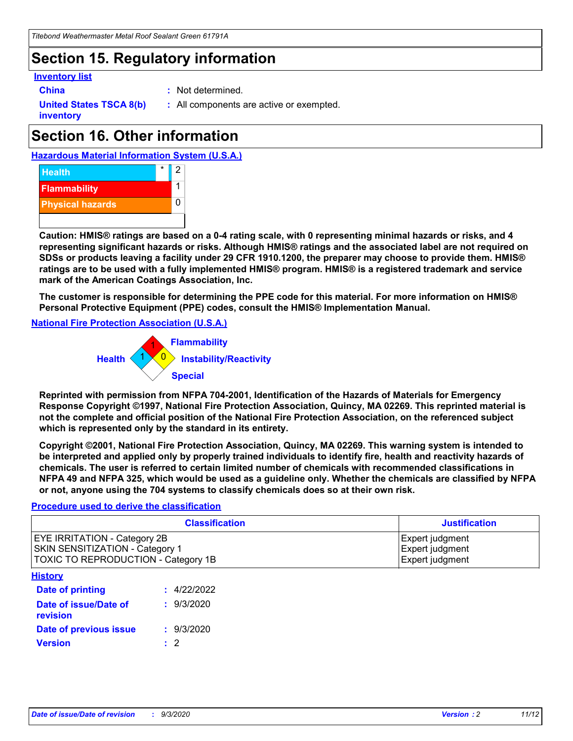### **Section 15. Regulatory information**

#### **Inventory list**

- 
- **China :** Not determined.

**United States TSCA 8(b) inventory**

**:** All components are active or exempted.

# **Section 16. Other information**





**Caution: HMIS® ratings are based on a 0-4 rating scale, with 0 representing minimal hazards or risks, and 4 representing significant hazards or risks. Although HMIS® ratings and the associated label are not required on SDSs or products leaving a facility under 29 CFR 1910.1200, the preparer may choose to provide them. HMIS® ratings are to be used with a fully implemented HMIS® program. HMIS® is a registered trademark and service mark of the American Coatings Association, Inc.**

**The customer is responsible for determining the PPE code for this material. For more information on HMIS® Personal Protective Equipment (PPE) codes, consult the HMIS® Implementation Manual.**

**National Fire Protection Association (U.S.A.)**



**Reprinted with permission from NFPA 704-2001, Identification of the Hazards of Materials for Emergency Response Copyright ©1997, National Fire Protection Association, Quincy, MA 02269. This reprinted material is not the complete and official position of the National Fire Protection Association, on the referenced subject which is represented only by the standard in its entirety.**

**Copyright ©2001, National Fire Protection Association, Quincy, MA 02269. This warning system is intended to be interpreted and applied only by properly trained individuals to identify fire, health and reactivity hazards of chemicals. The user is referred to certain limited number of chemicals with recommended classifications in NFPA 49 and NFPA 325, which would be used as a guideline only. Whether the chemicals are classified by NFPA or not, anyone using the 704 systems to classify chemicals does so at their own risk.**

#### **Procedure used to derive the classification**

| <b>Classification</b>                                                                                         | <b>Justification</b>                                  |
|---------------------------------------------------------------------------------------------------------------|-------------------------------------------------------|
| <b>EYE IRRITATION - Category 2B</b><br>SKIN SENSITIZATION - Category 1<br>TOXIC TO REPRODUCTION - Category 1B | Expert judgment<br>Expert judgment<br>Expert judgment |
| <b>History</b>                                                                                                |                                                       |

| .                                 |             |
|-----------------------------------|-------------|
| <b>Date of printing</b>           | : 4/22/2022 |
| Date of issue/Date of<br>revision | : 9/3/2020  |
| Date of previous issue            | : 9/3/2020  |
| <b>Version</b>                    | $\cdot$ 2   |
|                                   |             |